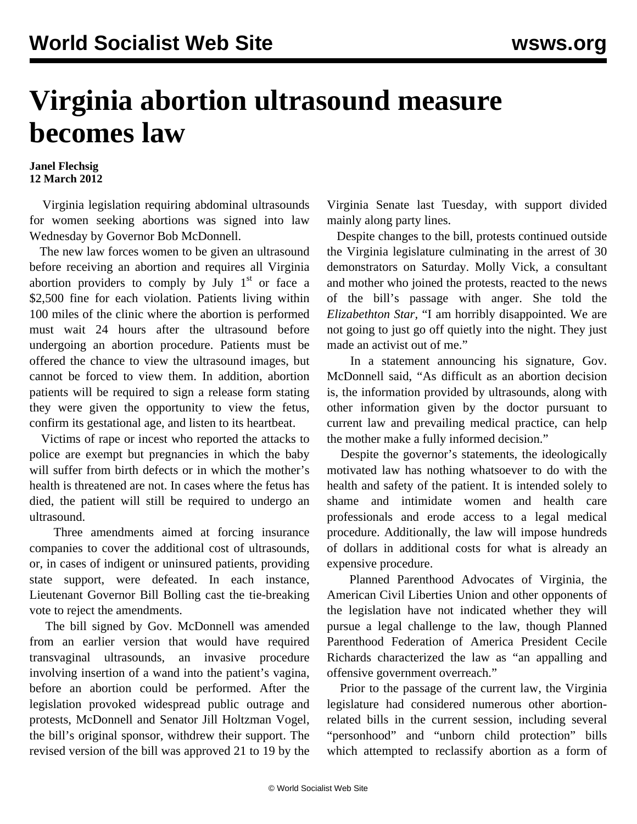## **Virginia abortion ultrasound measure becomes law**

## **Janel Flechsig 12 March 2012**

 Virginia legislation requiring abdominal ultrasounds for women seeking abortions was signed into law Wednesday by Governor Bob McDonnell.

 The new law forces women to be given an ultrasound before receiving an abortion and requires all Virginia abortion providers to comply by July  $1<sup>st</sup>$  or face a \$2,500 fine for each violation. Patients living within 100 miles of the clinic where the abortion is performed must wait 24 hours after the ultrasound before undergoing an abortion procedure. Patients must be offered the chance to view the ultrasound images, but cannot be forced to view them. In addition, abortion patients will be required to sign a release form stating they were given the opportunity to view the fetus, confirm its gestational age, and listen to its heartbeat.

 Victims of rape or incest who reported the attacks to police are exempt but pregnancies in which the baby will suffer from birth defects or in which the mother's health is threatened are not. In cases where the fetus has died, the patient will still be required to undergo an ultrasound.

 Three amendments aimed at forcing insurance companies to cover the additional cost of ultrasounds, or, in cases of indigent or uninsured patients, providing state support, were defeated. In each instance, Lieutenant Governor Bill Bolling cast the tie-breaking vote to reject the amendments.

 The bill signed by Gov. McDonnell was amended from an earlier version that would have required transvaginal ultrasounds, an invasive procedure involving insertion of a wand into the patient's vagina, before an abortion could be performed. After the legislation provoked widespread public outrage and protests, McDonnell and Senator Jill Holtzman Vogel, the bill's original sponsor, withdrew their support. The revised version of the bill was approved 21 to 19 by the

Virginia Senate last Tuesday, with support divided mainly along party lines.

 Despite changes to the bill, protests continued outside the Virginia legislature culminating in the arrest of 30 demonstrators on Saturday. Molly Vick, a consultant and mother who joined the protests, reacted to the news of the bill's passage with anger. She told the *Elizabethton Star,* "I am horribly disappointed. We are not going to just go off quietly into the night. They just made an activist out of me."

 In a statement announcing his signature, Gov. McDonnell said, "As difficult as an abortion decision is, the information provided by ultrasounds, along with other information given by the doctor pursuant to current law and prevailing medical practice, can help the mother make a fully informed decision."

 Despite the governor's statements, the ideologically motivated law has nothing whatsoever to do with the health and safety of the patient. It is intended solely to shame and intimidate women and health care professionals and erode access to a legal medical procedure. Additionally, the law will impose hundreds of dollars in additional costs for what is already an expensive procedure.

 Planned Parenthood Advocates of Virginia, the American Civil Liberties Union and other opponents of the legislation have not indicated whether they will pursue a legal challenge to the law, though Planned Parenthood Federation of America President Cecile Richards characterized the law as "an appalling and offensive government overreach."

 Prior to the passage of the current law, the Virginia legislature had considered numerous other abortionrelated bills in the current session, including several "personhood" and "unborn child protection" bills which attempted to reclassify abortion as a form of